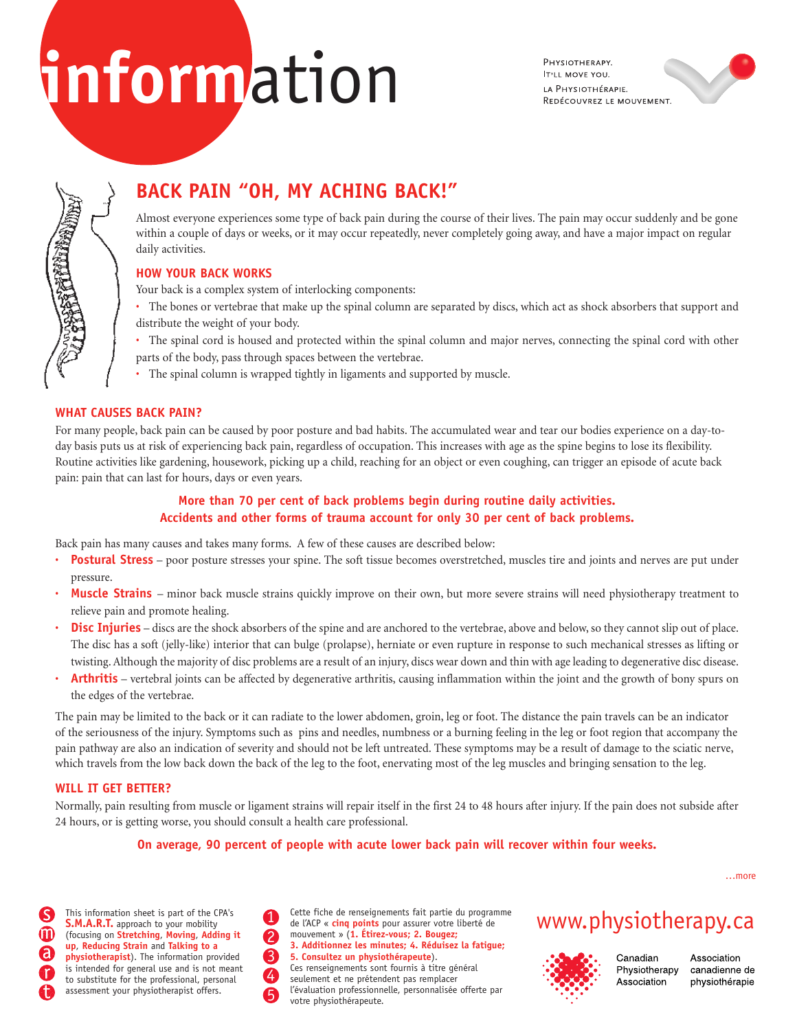# **inform**ation

PHYSIOTHERAPY. **IT'LL MOVE YOU.** LA PHYSIOTHÉRAPIE. REDÉCOUVREZ LE MOUVEMENT.



## **BACK PAIN "OH, MY ACHING BACK!"**

Almost everyone experiences some type of back pain during the course of their lives. The pain may occur suddenly and be gone within a couple of days or weeks, or it may occur repeatedly, never completely going away, and have a major impact on regular daily activities.

## **HOW YOUR BACK WORKS**

Your back is a complex system of interlocking components:

- The bones or vertebrae that make up the spinal column are separated by discs, which act as shock absorbers that support and distribute the weight of your body.
- The spinal cord is housed and protected within the spinal column and major nerves, connecting the spinal cord with other parts of the body, pass through spaces between the vertebrae.
- The spinal column is wrapped tightly in ligaments and supported by muscle.

## **WHAT CAUSES BACK PAIN?**

For many people, back pain can be caused by poor posture and bad habits. The accumulated wear and tear our bodies experience on a day-today basis puts us at risk of experiencing back pain, regardless of occupation. This increases with age as the spine begins to lose its flexibility. Routine activities like gardening, housework, picking up a child, reaching for an object or even coughing, can trigger an episode of acute back pain: pain that can last for hours, days or even years.

## **More than 70 per cent of back problems begin during routine daily activities. Accidents and other forms of trauma account for only 30 per cent of back problems.**

Back pain has many causes and takes many forms. A few of these causes are described below:

- **Postural Stress** poor posture stresses your spine. The soft tissue becomes overstretched, muscles tire and joints and nerves are put under pressure.
- Muscle Strains minor back muscle strains quickly improve on their own, but more severe strains will need physiotherapy treatment to relieve pain and promote healing.
- **Disc Injuries** discs are the shock absorbers of the spine and are anchored to the vertebrae, above and below, so they cannot slip out of place. The disc has a soft (jelly-like) interior that can bulge (prolapse), herniate or even rupture in response to such mechanical stresses as lifting or twisting. Although the majority of disc problems are a result of an injury, discs wear down and thin with age leading to degenerative disc disease.
- **Arthritis** vertebral joints can be affected by degenerative arthritis, causing inflammation within the joint and the growth of bony spurs on the edges of the vertebrae.

The pain may be limited to the back or it can radiate to the lower abdomen, groin, leg or foot. The distance the pain travels can be an indicator of the seriousness of the injury. Symptoms such as pins and needles, numbness or a burning feeling in the leg or foot region that accompany the pain pathway are also an indication of severity and should not be left untreated. These symptoms may be a result of damage to the sciatic nerve, which travels from the low back down the back of the leg to the foot, enervating most of the leg muscles and bringing sensation to the leg.

## **WILL IT GET BETTER?**

Normally, pain resulting from muscle or ligament strains will repair itself in the first 24 to 48 hours after injury. If the pain does not subside after 24 hours, or is getting worse, you should consult a health care professional.

## **On average, 90 percent of people with acute lower back pain will recover within four weeks.**

…more

**S.M.A.R.T.** approach to your mobility (focusing on **Stretching**, **Moving**, **Adding it up**, **Reducing Strain** and **Talking to a physiotherapist**). The information provided is intended for general use and is not meant to substitute for the professional, personal assessment your physiotherapist offers.

This information sheet is part of the CPA's<br>
S.M.A.R.T. approach to your mobility de l'ACP « cinq points pour assurer votre liberté de WWW. physiotherapy.Ca Cette fiche de renseignements fait partie du programme de l'ACP « **cinq points** pour assurer votre liberté de mouvement » (**1. Étirez-vous; 2. Bougez; 3. Additionnez les minutes; 4. Réduisez la fatigue; 5. Consultez un physiothérapeute**). Ces renseignements sont fournis à titre général seulement et ne prétendent pas remplacer l'évaluation professionnelle, personnalisée offerte par votre physiothérapeute.



Canadian Physiotherapy Association

Association canadienne de physiothérapie